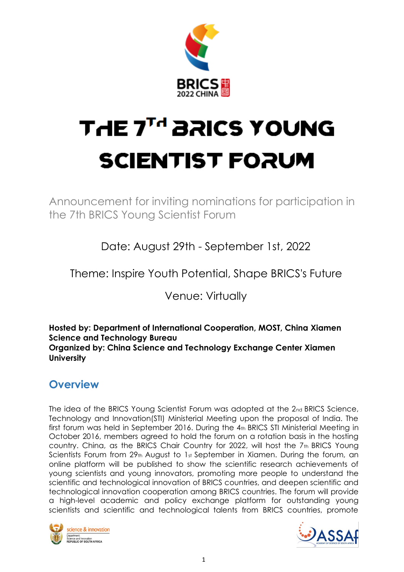

# **THE 7<sup>TH</sup> BRICS YOUNG SCIENTIST FORUM**

Announcement for inviting nominations for participation in the 7th BRICS Young Scientist Forum

Date: August 29th - September 1st, 2022

Theme: Inspire Youth Potential, Shape BRICS's Future

Venue: Virtually

**Hosted by: Department of International Cooperation, MOST, China Xiamen Science and Technology Bureau Organized by: China Science and Technology Exchange Center Xiamen University**

# **Overview**

The idea of the BRICS Young Scientist Forum was adopted at the 2nd BRICS Science, Technology and Innovation(STI) Ministerial Meeting upon the proposal of India. The first forum was held in September 2016. During the 4th BRICS STI Ministerial Meeting in October 2016, members agreed to hold the forum on a rotation basis in the hosting country. China, as the BRICS Chair Country for 2022, will host the 7<sup>th</sup> BRICS Young Scientists Forum from  $29<sub>th</sub>$  August to 1st September in Xiamen. During the forum, an online platform will be published to show the scientific research achievements of young scientists and young innovators, promoting more people to understand the scientific and technological innovation of BRICS countries, and deepen scientific and technological innovation cooperation among BRICS countries. The forum will provide a high-level academic and policy exchange platform for outstanding young scientists and scientific and technological talents from BRICS countries, promote



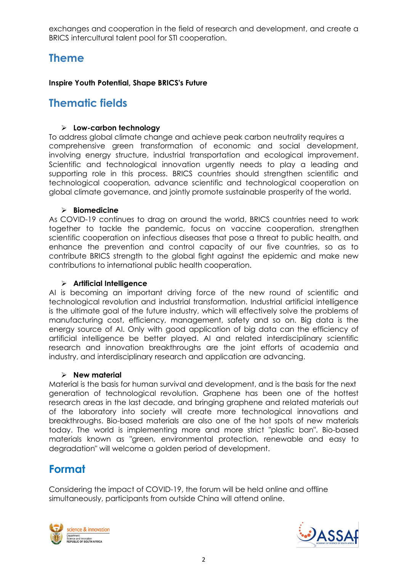exchanges and cooperation in the field of research and development, and create a BRICS intercultural talent pool for STI cooperation.

## **Theme**

#### **Inspire Youth Potential, Shape BRICS's Future**

### **Thematic fields**

#### ➢ **Low-carbon technology**

To address global climate change and achieve peak carbon neutrality requires a comprehensive green transformation of economic and social development, involving energy structure, industrial transportation and ecological improvement. Scientific and technological innovation urgently needs to play a leading and supporting role in this process. BRICS countries should strengthen scientific and technological cooperation, advance scientific and technological cooperation on global climate governance, and jointly promote sustainable prosperity of the world.

#### ➢ **Biomedicine**

As COVID-19 continues to drag on around the world, BRICS countries need to work together to tackle the pandemic, focus on vaccine cooperation, strengthen scientific cooperation on infectious diseases that pose a threat to public health, and enhance the prevention and control capacity of our five countries, so as to contribute BRICS strength to the global fight against the epidemic and make new contributions to international public health cooperation.

#### ➢ **Artificial Intelligence**

AI is becoming an important driving force of the new round of scientific and technological revolution and industrial transformation. Industrial artificial intelligence is the ultimate goal of the future industry, which will effectively solve the problems of manufacturing cost, efficiency, management, safety and so on. Big data is the energy source of AI. Only with good application of big data can the efficiency of artificial intelligence be better played. AI and related interdisciplinary scientific research and innovation breakthroughs are the joint efforts of academia and industry, and interdisciplinary research and application are advancing.

#### ➢ **New material**

Material is the basis for human survival and development, and is the basis for the next generation of technological revolution. Graphene has been one of the hottest research areas in the last decade, and bringing graphene and related materials out of the laboratory into society will create more technological innovations and breakthroughs. Bio-based materials are also one of the hot spots of new materials today. The world is implementing more and more strict "plastic ban". Bio-based materials known as "green, environmental protection, renewable and easy to degradation" will welcome a golden period of development.

## **Format**

Considering the impact of COVID-19, the forum will be held online and offline simultaneously, participants from outside China will attend online.